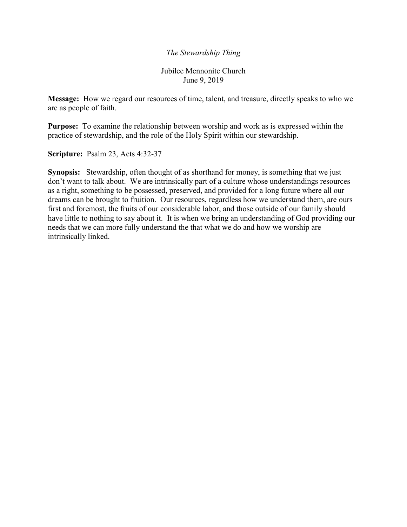## *The Stewardship Thing*

Jubilee Mennonite Church June 9, 2019

**Message:** How we regard our resources of time, talent, and treasure, directly speaks to who we are as people of faith.

**Purpose:** To examine the relationship between worship and work as is expressed within the practice of stewardship, and the role of the Holy Spirit within our stewardship.

**Scripture:** Psalm 23, Acts 4:32-37

**Synopsis:** Stewardship, often thought of as shorthand for money, is something that we just don't want to talk about. We are intrinsically part of a culture whose understandings resources as a right, something to be possessed, preserved, and provided for a long future where all our dreams can be brought to fruition. Our resources, regardless how we understand them, are ours first and foremost, the fruits of our considerable labor, and those outside of our family should have little to nothing to say about it. It is when we bring an understanding of God providing our needs that we can more fully understand the that what we do and how we worship are intrinsically linked.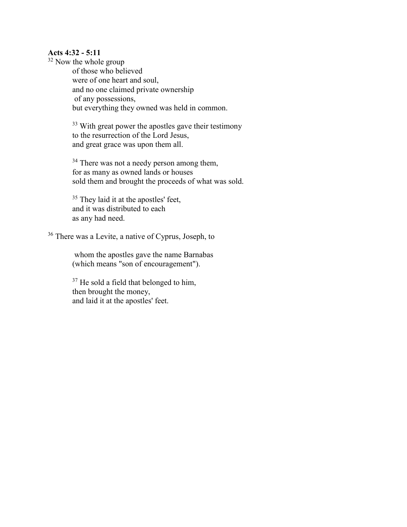## **Acts 4:32 - 5:11**

 $32$  Now the whole group

of those who believed were of one heart and soul, and no one claimed private ownership of any possessions, but everything they owned was held in common.

<sup>33</sup> With great power the apostles gave their testimony to the resurrection of the Lord Jesus, and great grace was upon them all.

<sup>34</sup> There was not a needy person among them, for as many as owned lands or houses sold them and brought the proceeds of what was sold.

<sup>35</sup> They laid it at the apostles' feet, and it was distributed to each as any had need.

<sup>36</sup> There was a Levite, a native of Cyprus, Joseph, to

whom the apostles gave the name Barnabas (which means "son of encouragement").

<sup>37</sup> He sold a field that belonged to him, then brought the money, and laid it at the apostles' feet.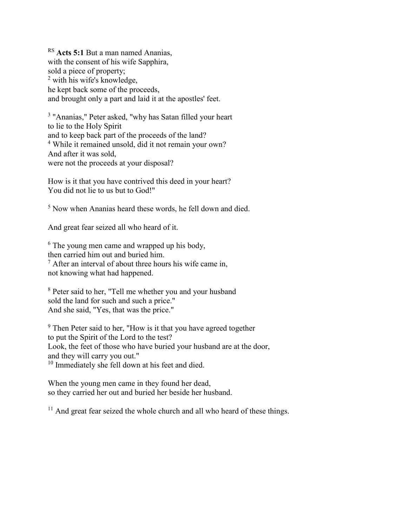RS **Acts 5:1** But a man named Ananias, with the consent of his wife Sapphira, sold a piece of property; <sup>2</sup> with his wife's knowledge, he kept back some of the proceeds, and brought only a part and laid it at the apostles' feet.

<sup>3</sup> "Ananias," Peter asked, "why has Satan filled your heart to lie to the Holy Spirit and to keep back part of the proceeds of the land? <sup>4</sup> While it remained unsold, did it not remain your own? And after it was sold, were not the proceeds at your disposal?

How is it that you have contrived this deed in your heart? You did not lie to us but to God!"

<sup>5</sup> Now when Ananias heard these words, he fell down and died.

And great fear seized all who heard of it.

 $6$  The young men came and wrapped up his body, then carried him out and buried him.  $7$  After an interval of about three hours his wife came in, not knowing what had happened.

<sup>8</sup> Peter said to her, "Tell me whether you and your husband sold the land for such and such a price." And she said, "Yes, that was the price."

<sup>9</sup> Then Peter said to her, "How is it that you have agreed together to put the Spirit of the Lord to the test? Look, the feet of those who have buried your husband are at the door, and they will carry you out." <sup>10</sup> Immediately she fell down at his feet and died.

When the young men came in they found her dead, so they carried her out and buried her beside her husband.

 $11$  And great fear seized the whole church and all who heard of these things.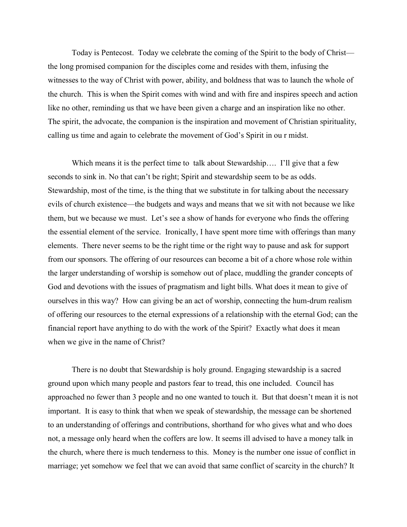Today is Pentecost. Today we celebrate the coming of the Spirit to the body of Christ the long promised companion for the disciples come and resides with them, infusing the witnesses to the way of Christ with power, ability, and boldness that was to launch the whole of the church. This is when the Spirit comes with wind and with fire and inspires speech and action like no other, reminding us that we have been given a charge and an inspiration like no other. The spirit, the advocate, the companion is the inspiration and movement of Christian spirituality, calling us time and again to celebrate the movement of God's Spirit in ou r midst.

Which means it is the perfect time to talk about Stewardship.... I'll give that a few seconds to sink in. No that can't be right; Spirit and stewardship seem to be as odds. Stewardship, most of the time, is the thing that we substitute in for talking about the necessary evils of church existence—the budgets and ways and means that we sit with not because we like them, but we because we must. Let's see a show of hands for everyone who finds the offering the essential element of the service. Ironically, I have spent more time with offerings than many elements. There never seems to be the right time or the right way to pause and ask for support from our sponsors. The offering of our resources can become a bit of a chore whose role within the larger understanding of worship is somehow out of place, muddling the grander concepts of God and devotions with the issues of pragmatism and light bills. What does it mean to give of ourselves in this way? How can giving be an act of worship, connecting the hum-drum realism of offering our resources to the eternal expressions of a relationship with the eternal God; can the financial report have anything to do with the work of the Spirit? Exactly what does it mean when we give in the name of Christ?

 There is no doubt that Stewardship is holy ground. Engaging stewardship is a sacred ground upon which many people and pastors fear to tread, this one included. Council has approached no fewer than 3 people and no one wanted to touch it. But that doesn't mean it is not important. It is easy to think that when we speak of stewardship, the message can be shortened to an understanding of offerings and contributions, shorthand for who gives what and who does not, a message only heard when the coffers are low. It seems ill advised to have a money talk in the church, where there is much tenderness to this. Money is the number one issue of conflict in marriage; yet somehow we feel that we can avoid that same conflict of scarcity in the church? It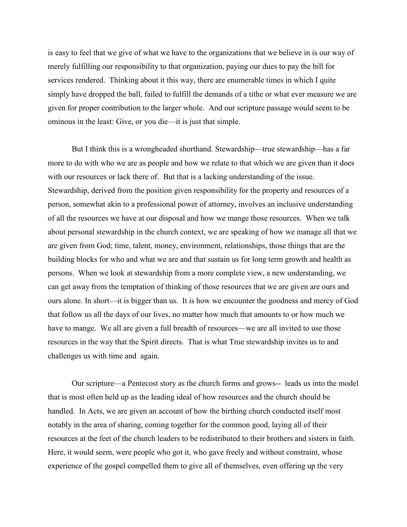is easy to feel that we give of what we have to the organizations that we believe in is our way of merely fulfilling our responsibility to that organization, paying our dues to pay the bill for services rendered. Thinking about it this way, there are enumerable times in which I quite simply have dropped the ball, failed to fulfill the demands of a tithe or what ever measure we are given for proper contribution to the larger whole. And our scripture passage would seem to be ominous in the least: Give, or you die—it is just that simple.

 But I think this is a wrongheaded shorthand. Stewardship—true stewardship—has a far more to do with who we are as people and how we relate to that which we are given than it does with our resources or lack there of. But that is a lacking understanding of the issue. Stewardship, derived from the position given responsibility for the property and resources of a person, somewhat akin to a professional power of attorney, involves an inclusive understanding of all the resources we have at our disposal and how we mange those resources. When we talk about personal stewardship in the church context, we are speaking of how we manage all that we are given from God; time, talent, money, environment, relationships, those things that are the building blocks for who and what we are and that sustain us for long term growth and health as persons. When we look at stewardship from a more complete view, a new understanding, we can get away from the temptation of thinking of those resources that we are given are ours and ours alone. In short—it is bigger than us. It is how we encounter the goodness and mercy of God that follow us all the days of our lives, no matter how much that amounts to or how much we have to mange. We all are given a full breadth of resources—we are all invited to use those resources in the way that the Spirit directs. That is what True stewardship invites us to and challenges us with time and again.

 Our scripture—a Pentecost story as the church forms and grows-- leads us into the model that is most often held up as the leading ideal of how resources and the church should be handled. In Acts, we are given an account of how the birthing church conducted itself most notably in the area of sharing, coming together for the common good, laying all of their resources at the feet of the church leaders to be redistributed to their brothers and sisters in faith. Here, it would seem, were people who got it, who gave freely and without constraint, whose experience of the gospel compelled them to give all of themselves, even offering up the very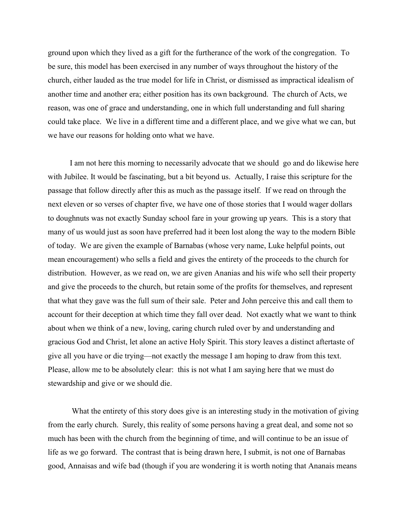ground upon which they lived as a gift for the furtherance of the work of the congregation. To be sure, this model has been exercised in any number of ways throughout the history of the church, either lauded as the true model for life in Christ, or dismissed as impractical idealism of another time and another era; either position has its own background. The church of Acts, we reason, was one of grace and understanding, one in which full understanding and full sharing could take place. We live in a different time and a different place, and we give what we can, but we have our reasons for holding onto what we have.

 I am not here this morning to necessarily advocate that we should go and do likewise here with Jubilee. It would be fascinating, but a bit beyond us. Actually, I raise this scripture for the passage that follow directly after this as much as the passage itself. If we read on through the next eleven or so verses of chapter five, we have one of those stories that I would wager dollars to doughnuts was not exactly Sunday school fare in your growing up years. This is a story that many of us would just as soon have preferred had it been lost along the way to the modern Bible of today. We are given the example of Barnabas (whose very name, Luke helpful points, out mean encouragement) who sells a field and gives the entirety of the proceeds to the church for distribution. However, as we read on, we are given Ananias and his wife who sell their property and give the proceeds to the church, but retain some of the profits for themselves, and represent that what they gave was the full sum of their sale. Peter and John perceive this and call them to account for their deception at which time they fall over dead. Not exactly what we want to think about when we think of a new, loving, caring church ruled over by and understanding and gracious God and Christ, let alone an active Holy Spirit. This story leaves a distinct aftertaste of give all you have or die trying—not exactly the message I am hoping to draw from this text. Please, allow me to be absolutely clear: this is not what I am saying here that we must do stewardship and give or we should die.

 What the entirety of this story does give is an interesting study in the motivation of giving from the early church. Surely, this reality of some persons having a great deal, and some not so much has been with the church from the beginning of time, and will continue to be an issue of life as we go forward. The contrast that is being drawn here, I submit, is not one of Barnabas good, Annaisas and wife bad (though if you are wondering it is worth noting that Ananais means